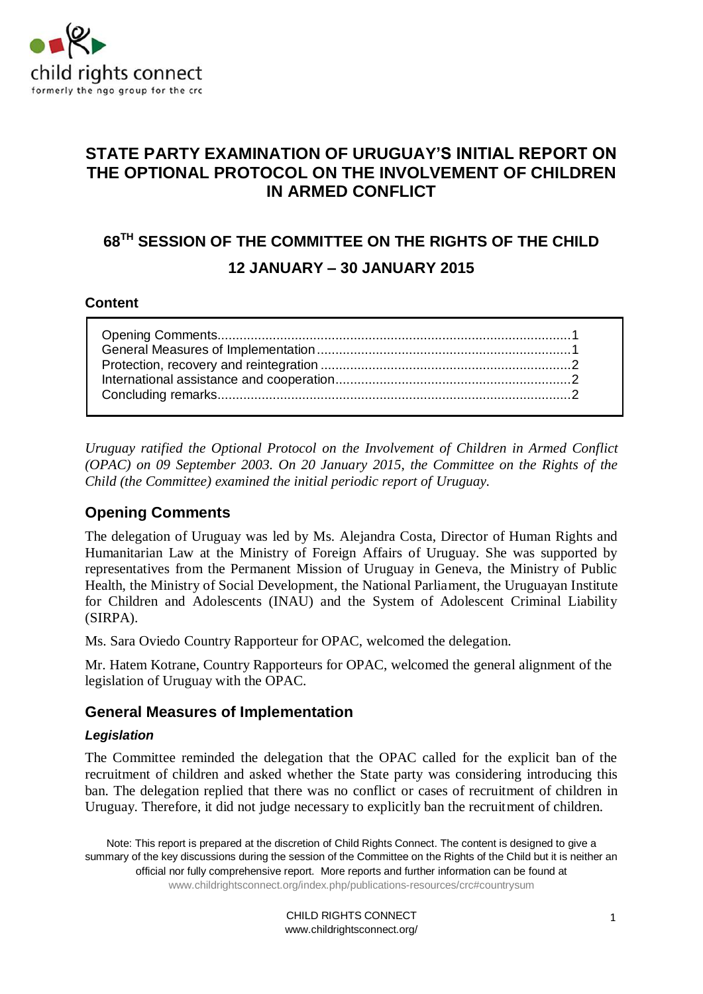

## **STATE PARTY EXAMINATION OF URUGUAY'S INITIAL REPORT ON THE OPTIONAL PROTOCOL ON THE INVOLVEMENT OF CHILDREN IN ARMED CONFLICT**

# **68 TH SESSION OF THE COMMITTEE ON THE RIGHTS OF THE CHILD 12 JANUARY – 30 JANUARY 2015**

## **Content**

*Uruguay ratified the Optional Protocol on the Involvement of Children in Armed Conflict (OPAC) on 09 September 2003. On 20 January 2015, the Committee on the Rights of the Child (the Committee) examined the initial periodic report of Uruguay.* 

## **Opening Comments**

The delegation of Uruguay was led by Ms. Alejandra Costa, Director of Human Rights and Humanitarian Law at the Ministry of Foreign Affairs of Uruguay. She was supported by representatives from the Permanent Mission of Uruguay in Geneva, the Ministry of Public Health, the Ministry of Social Development, the National Parliament, the Uruguayan Institute for Children and Adolescents (INAU) and the System of Adolescent Criminal Liability (SIRPA).

Ms. Sara Oviedo Country Rapporteur for OPAC, welcomed the delegation.

Mr. Hatem Kotrane, Country Rapporteurs for OPAC, welcomed the general alignment of the legislation of Uruguay with the OPAC.

## **General Measures of Implementation**

## *Legislation*

The Committee reminded the delegation that the OPAC called for the explicit ban of the recruitment of children and asked whether the State party was considering introducing this ban. The delegation replied that there was no conflict or cases of recruitment of children in Uruguay. Therefore, it did not judge necessary to explicitly ban the recruitment of children.

Note: This report is prepared at the discretion of Child Rights Connect. The content is designed to give a summary of the key discussions during the session of the Committee on the Rights of the Child but it is neither an official nor fully comprehensive report. More reports and further information can be found at www.childrightsconnect.org/index.php/publications-resources/crc#countrysum

> CHILD RIGHTS CONNECT www.childrightsconnect.org/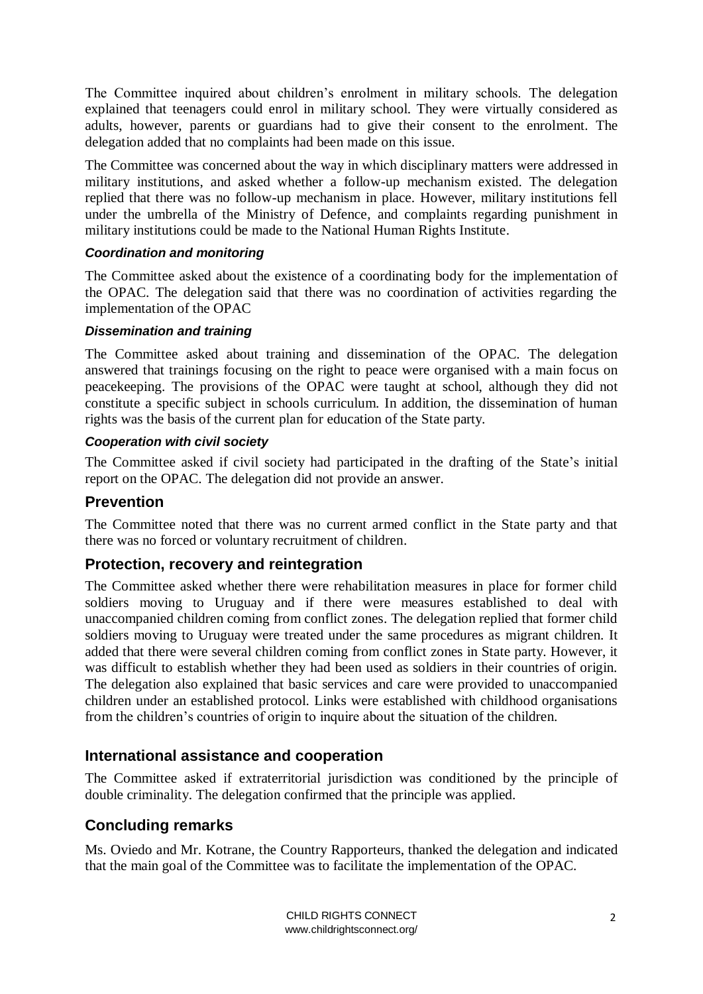The Committee inquired about children's enrolment in military schools. The delegation explained that teenagers could enrol in military school. They were virtually considered as adults, however, parents or guardians had to give their consent to the enrolment. The delegation added that no complaints had been made on this issue.

The Committee was concerned about the way in which disciplinary matters were addressed in military institutions, and asked whether a follow-up mechanism existed. The delegation replied that there was no follow-up mechanism in place. However, military institutions fell under the umbrella of the Ministry of Defence, and complaints regarding punishment in military institutions could be made to the National Human Rights Institute.

## *Coordination and monitoring*

The Committee asked about the existence of a coordinating body for the implementation of the OPAC. The delegation said that there was no coordination of activities regarding the implementation of the OPAC

#### *Dissemination and training*

The Committee asked about training and dissemination of the OPAC. The delegation answered that trainings focusing on the right to peace were organised with a main focus on peacekeeping. The provisions of the OPAC were taught at school, although they did not constitute a specific subject in schools curriculum. In addition, the dissemination of human rights was the basis of the current plan for education of the State party.

#### *Cooperation with civil society*

The Committee asked if civil society had participated in the drafting of the State's initial report on the OPAC. The delegation did not provide an answer.

## **Prevention**

The Committee noted that there was no current armed conflict in the State party and that there was no forced or voluntary recruitment of children.

## **Protection, recovery and reintegration**

The Committee asked whether there were rehabilitation measures in place for former child soldiers moving to Uruguay and if there were measures established to deal with unaccompanied children coming from conflict zones. The delegation replied that former child soldiers moving to Uruguay were treated under the same procedures as migrant children. It added that there were several children coming from conflict zones in State party. However, it was difficult to establish whether they had been used as soldiers in their countries of origin. The delegation also explained that basic services and care were provided to unaccompanied children under an established protocol. Links were established with childhood organisations from the children's countries of origin to inquire about the situation of the children.

## **International assistance and cooperation**

The Committee asked if extraterritorial jurisdiction was conditioned by the principle of double criminality. The delegation confirmed that the principle was applied.

## **Concluding remarks**

Ms. Oviedo and Mr. Kotrane, the Country Rapporteurs, thanked the delegation and indicated that the main goal of the Committee was to facilitate the implementation of the OPAC.